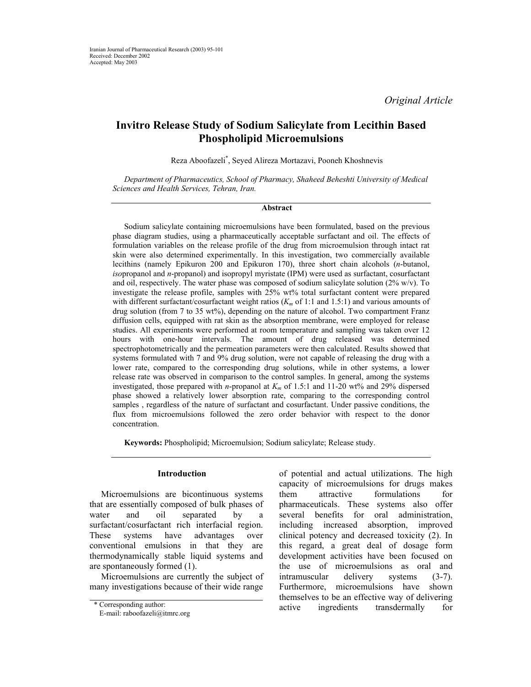*Original Article* 

# **Invitro Release Study of Sodium Salicylate from Lecithin Based Phospholipid Microemulsions**

Reza Aboofazeli\* , Seyed Alireza Mortazavi, Pooneh Khoshnevis

*Department of Pharmaceutics, School of Pharmacy, Shaheed Beheshti University of Medical Sciences and Health Services, Tehran, Iran.* 

#### **Abstract**

Sodium salicylate containing microemulsions have been formulated, based on the previous phase diagram studies, using a pharmaceutically acceptable surfactant and oil. The effects of formulation variables on the release profile of the drug from microemulsion through intact rat skin were also determined experimentally. In this investigation, two commercially available lecithins (namely Epikuron 200 and Epikuron 170), three short chain alcohols (*n*-butanol, *iso*propanol and *n*-propanol) and isopropyl myristate (IPM) were used as surfactant, cosurfactant and oil, respectively. The water phase was composed of sodium salicylate solution  $(2\% w/v)$ . To investigate the release profile, samples with 25% wt% total surfactant content were prepared with different surfactant/cosurfactant weight ratios ( $K<sub>m</sub>$  of 1:1 and 1.5:1) and various amounts of drug solution (from 7 to 35 wt%), depending on the nature of alcohol. Two compartment Franz diffusion cells, equipped with rat skin as the absorption membrane, were employed for release studies. All experiments were performed at room temperature and sampling was taken over 12 hours with one-hour intervals. The amount of drug released was determined spectrophotometrically and the permeation parameters were then calculated. Results showed that systems formulated with 7 and 9% drug solution, were not capable of releasing the drug with a lower rate, compared to the corresponding drug solutions, while in other systems, a lower release rate was observed in comparison to the control samples. In general, among the systems investigated, those prepared with *n*-propanol at *Km* of 1.5:1 and 11-20 wt% and 29% dispersed phase showed a relatively lower absorption rate, comparing to the corresponding control samples , regardless of the nature of surfactant and cosurfactant. Under passive conditions, the flux from microemulsions followed the zero order behavior with respect to the donor concentration.

**Keywords:** Phospholipid; Microemulsion; Sodium salicylate; Release study.

#### **Introduction**

Microemulsions are bicontinuous systems that are essentially composed of bulk phases of water and oil separated by a surfactant/cosurfactant rich interfacial region. These systems have advantages over conventional emulsions in that they are thermodynamically stable liquid systems and are spontaneously formed (1).

Microemulsions are currently the subject of many investigations because of their wide range

of potential and actual utilizations. The high capacity of microemulsions for drugs makes them attractive formulations for pharmaceuticals. These systems also offer several benefits for oral administration, including increased absorption, improved clinical potency and decreased toxicity (2). In this regard, a great deal of dosage form development activities have been focused on the use of microemulsions as oral and intramuscular delivery systems (3-7). Furthermore, microemulsions have shown themselves to be an effective way of delivering \* Corresponding author: active ingredients transdermally for

E-mail: raboofazeli@itmrc.org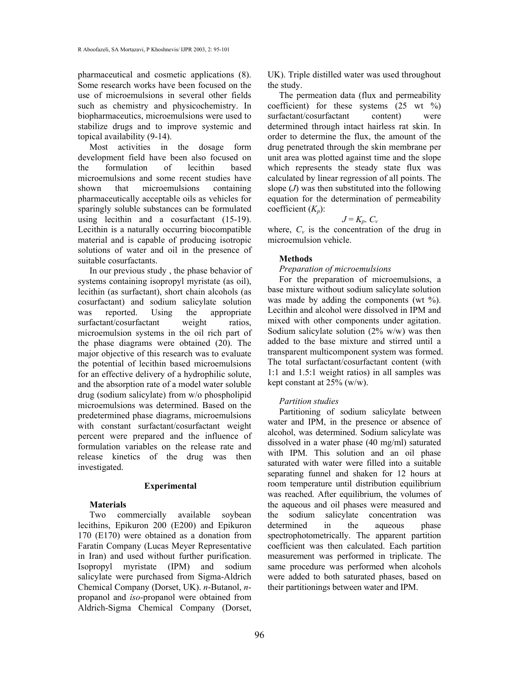pharmaceutical and cosmetic applications (8). Some research works have been focused on the use of microemulsions in several other fields such as chemistry and physicochemistry. In biopharmaceutics, microemulsions were used to stabilize drugs and to improve systemic and topical availability (9-14).

Most activities in the dosage form development field have been also focused on the formulation of lecithin based microemulsions and some recent studies have shown that microemulsions containing pharmaceutically acceptable oils as vehicles for sparingly soluble substances can be formulated using lecithin and a cosurfactant (15-19). Lecithin is a naturally occurring biocompatible material and is capable of producing isotropic solutions of water and oil in the presence of suitable cosurfactants.

In our previous study , the phase behavior of systems containing isopropyl myristate (as oil), lecithin (as surfactant), short chain alcohols (as cosurfactant) and sodium salicylate solution was reported. Using the appropriate surfactant/cosurfactant weight ratios, microemulsion systems in the oil rich part of the phase diagrams were obtained (20). The major objective of this research was to evaluate the potential of lecithin based microemulsions for an effective delivery of a hydrophilic solute, and the absorption rate of a model water soluble drug (sodium salicylate) from w/o phospholipid microemulsions was determined. Based on the predetermined phase diagrams, microemulsions with constant surfactant/cosurfactant weight percent were prepared and the influence of formulation variables on the release rate and release kinetics of the drug was then investigated.

#### **Experimental**

#### **Materials**

Two commercially available soybean lecithins, Epikuron 200 (E200) and Epikuron 170 (E170) were obtained as a donation from Faratin Company (Lucas Meyer Representative in Iran) and used without further purification. Isopropyl myristate (IPM) and sodium salicylate were purchased from Sigma-Aldrich Chemical Company (Dorset, UK). *n*-Butanol, *n*propanol and *iso*-propanol were obtained from Aldrich-Sigma Chemical Company (Dorset, UK). Triple distilled water was used throughout the study.

The permeation data (flux and permeability coefficient) for these systems  $(25 \text{ wt } %)$ surfactant/cosurfactant content) were determined through intact hairless rat skin. In order to determine the flux, the amount of the drug penetrated through the skin membrane per unit area was plotted against time and the slope which represents the steady state flux was calculated by linear regression of all points. The slope (*J*) was then substituted into the following equation for the determination of permeability coefficient (*Kp*):

# $J = K_p$ .  $C_v$

where,  $C_v$  is the concentration of the drug in microemulsion vehicle.

# **Methods**

#### *Preparation of microemulsions*

For the preparation of microemulsions, a base mixture without sodium salicylate solution was made by adding the components (wt %). Lecithin and alcohol were dissolved in IPM and mixed with other components under agitation. Sodium salicylate solution (2% w/w) was then added to the base mixture and stirred until a transparent multicomponent system was formed. The total surfactant/cosurfactant content (with 1:1 and 1.5:1 weight ratios) in all samples was kept constant at 25% (w/w).

#### *Partition studies*

Partitioning of sodium salicylate between water and IPM, in the presence or absence of alcohol, was determined. Sodium salicylate was dissolved in a water phase (40 mg/ml) saturated with IPM. This solution and an oil phase saturated with water were filled into a suitable separating funnel and shaken for 12 hours at room temperature until distribution equilibrium was reached. After equilibrium, the volumes of the aqueous and oil phases were measured and the sodium salicylate concentration was determined in the aqueous phase spectrophotometrically. The apparent partition coefficient was then calculated. Each partition measurement was performed in triplicate. The same procedure was performed when alcohols were added to both saturated phases, based on their partitionings between water and IPM.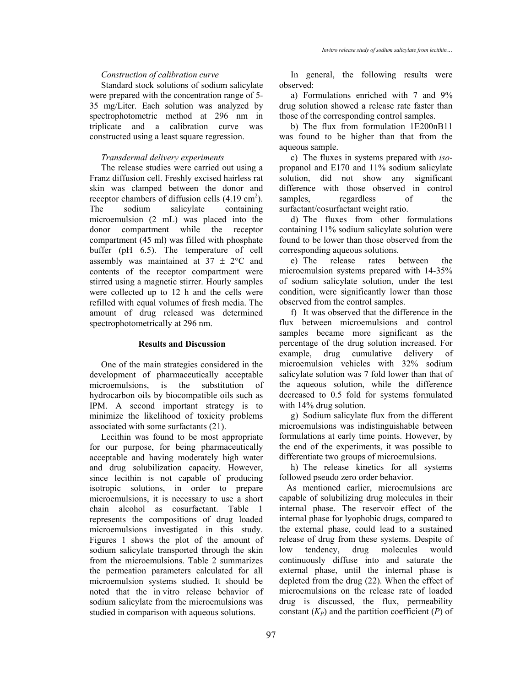## *Construction of calibration curve*

Standard stock solutions of sodium salicylate were prepared with the concentration range of 5- 35 mg/Liter. Each solution was analyzed by spectrophotometric method at 296 nm in triplicate and a calibration curve was constructed using a least square regression.

## *Transdermal delivery experiments*

The release studies were carried out using a Franz diffusion cell. Freshly excised hairless rat skin was clamped between the donor and receptor chambers of diffusion cells  $(4.19 \text{ cm}^2)$ . The sodium salicylate containing microemulsion (2 mL) was placed into the donor compartment while the receptor compartment (45 ml) was filled with phosphate buffer (pH 6.5). The temperature of cell assembly was maintained at  $37 \pm 2$ °C and contents of the receptor compartment were stirred using a magnetic stirrer. Hourly samples were collected up to 12 h and the cells were refilled with equal volumes of fresh media. The amount of drug released was determined spectrophotometrically at 296 nm.

# **Results and Discussion**

One of the main strategies considered in the development of pharmaceutically acceptable microemulsions, is the substitution of hydrocarbon oils by biocompatible oils such as IPM. A second important strategy is to minimize the likelihood of toxicity problems associated with some surfactants (21).

Lecithin was found to be most appropriate for our purpose, for being pharmaceutically acceptable and having moderately high water and drug solubilization capacity. However, since lecithin is not capable of producing isotropic solutions, in order to prepare microemulsions, it is necessary to use a short chain alcohol as cosurfactant. Table 1 represents the compositions of drug loaded microemulsions investigated in this study. Figures 1 shows the plot of the amount of sodium salicylate transported through the skin from the microemulsions. Table 2 summarizes the permeation parameters calculated for all microemulsion systems studied. It should be noted that the in vitro release behavior of sodium salicylate from the microemulsions was studied in comparison with aqueous solutions.

In general, the following results were observed:

a) Formulations enriched with 7 and 9% drug solution showed a release rate faster than those of the corresponding control samples.

b) The flux from formulation 1E200nB11 was found to be higher than that from the aqueous sample.

c) The fluxes in systems prepared with *iso*propanol and E170 and 11% sodium salicylate solution, did not show any significant difference with those observed in control samples, regardless of the surfactant/cosurfactant weight ratio.

d) The fluxes from other formulations containing 11% sodium salicylate solution were found to be lower than those observed from the corresponding aqueous solutions.

e) The release rates between the microemulsion systems prepared with 14-35% of sodium salicylate solution, under the test condition, were significantly lower than those observed from the control samples.

f) It was observed that the difference in the flux between microemulsions and control samples became more significant as the percentage of the drug solution increased. For example, drug cumulative delivery of microemulsion vehicles with 32% sodium salicylate solution was 7 fold lower than that of the aqueous solution, while the difference decreased to 0.5 fold for systems formulated with 14% drug solution.

g) Sodium salicylate flux from the different microemulsions was indistinguishable between formulations at early time points. However, by the end of the experiments, it was possible to differentiate two groups of microemulsions.

h) The release kinetics for all systems followed pseudo zero order behavior.

As mentioned earlier, microemulsions are capable of solubilizing drug molecules in their internal phase. The reservoir effect of the internal phase for lyophobic drugs, compared to the external phase, could lead to a sustained release of drug from these systems. Despite of low tendency, drug molecules would continuously diffuse into and saturate the external phase, until the internal phase is depleted from the drug (22). When the effect of microemulsions on the release rate of loaded drug is discussed, the flux, permeability constant  $(K_P)$  and the partition coefficient  $(P)$  of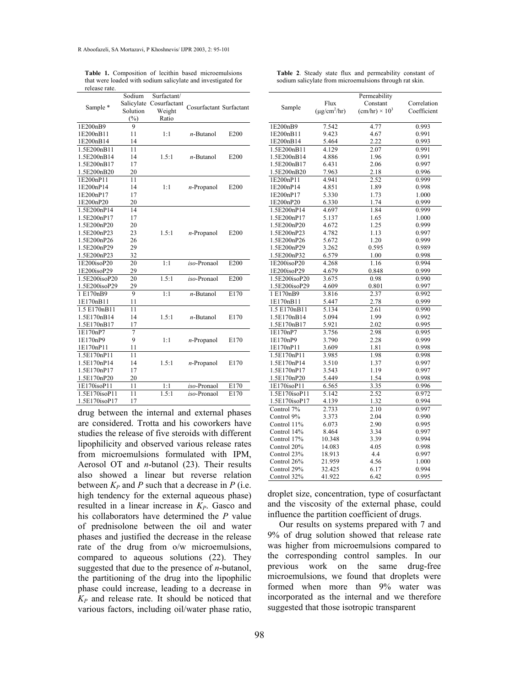|                | Sodium     | Surfactant/  |                         |                  |
|----------------|------------|--------------|-------------------------|------------------|
| Sample *       | Salicylate | Cosurfactant | Cosurfactant Surfactant |                  |
|                | Solution   | Weight       |                         |                  |
|                | $(\%)$     | Ratio        |                         |                  |
| 1E200nB9       | 9          |              |                         |                  |
| 1E200nB11      | 11         | 1:1          | $n$ -Butanol            | E200             |
| 1E200nB14      | 14         |              |                         |                  |
| 1.5E200nB11    | 11         |              |                         |                  |
| 1.5E200nB14    | 14         | 1.5:1        | n-Butanol               | E <sub>200</sub> |
| 1.5E200nB17    | 17         |              |                         |                  |
| 1.5E200nB20    | 20         |              |                         |                  |
| 1E200nP11      | 11         |              |                         |                  |
| 1E200nP14      | 14         | 1:1          | $n$ -Propanol           | E200             |
| 1E200nP17      | 17         |              |                         |                  |
| 1E200nP20      | 20         |              |                         |                  |
| 1.5E200nP14    | 14         |              |                         |                  |
| 1.5E200nP17    | 17         |              |                         |                  |
| 1.5E200nP20    | 20         |              |                         |                  |
| 1.5E200nP23    | 23         | 1.5:1        | $n$ -Propanol           | E <sub>200</sub> |
| 1.5E200nP26    | 26         |              |                         |                  |
| 1.5E200nP29    | 29         |              |                         |                  |
| 1.5E200nP23    | 32         |              |                         |                  |
| $1E200$ isoP20 | 20         | 1:1          | iso-Pronaol             | E200             |
| 1E200isoP29    | 29         |              |                         |                  |
| 1.5E200isoP20  | 20         | 1.5:1        | iso-Pronaol             | E200             |
| 1.5E200isoP29  | 29         |              |                         |                  |
| 1 E170nB9      | 9          | 1:1          | $n$ -Butanol            | E170             |
| 1E170nB11      | 11         |              |                         |                  |
| 1.5 E170nB11   | 11         |              |                         |                  |
| 1.5E170nB14    | 14         | 1.5:1        | $n$ -Butanol            | E170             |
| 1.5E170nB17    | 17         |              |                         |                  |
| 1E170nP7       | 7          |              |                         |                  |
| 1E170nP9       | 9          | 1:1          | $n$ -Propanol           | E170             |
| 1E170nP11      | 11         |              |                         |                  |
| 1.5E170nP11    | 11         |              |                         |                  |
| 1.5E170nP14    | 14         | 1.5:1        | $n$ -Propanol           | E170             |
| 1.5E170nP17    | 17         |              |                         |                  |
| 1.5E170nP20    | 20         |              |                         |                  |
| 1E170isoP11    | 11         | 1:1          | iso-Pronaol             | E170             |
| 1.5E170isoP11  | 11         | 1.5:1        | iso-Pronaol             | E170             |
| 1.5E170isoP17  | 17         |              |                         |                  |

**Table 1.** Composition of lecithin based microemulsions that were loaded with sodium salicylate and investigated for release rate.

drug between the internal and external phases are considered. Trotta and his coworkers have studies the release of five steroids with different lipophilicity and observed various release rates from microemulsions formulated with IPM, Aerosol OT and *n*-butanol (23). Their results also showed a linear but reverse relation between  $K_P$  and P such that a decrease in P (i.e. high tendency for the external aqueous phase) resulted in a linear increase in  $K_p$ . Gasco and his collaborators have determined the *P* value of prednisolone between the oil and water phases and justified the decrease in the release rate of the drug from o/w microemulsions, compared to aqueous solutions (22). They suggested that due to the presence of *n*-butanol, the partitioning of the drug into the lipophilic phase could increase, leading to a decrease in *KP* and release rate. It should be noticed that various factors, including oil/water phase ratio,

|               |                               | Permeability                 |             |
|---------------|-------------------------------|------------------------------|-------------|
|               | Flux                          | Constant                     | Correlation |
| Sample        | $(\mu$ g/cm <sup>2</sup> /hr) | $\text{(cm/hr)} \times 10^3$ | Coefficient |
|               |                               |                              |             |
| 1E200nB9      | 7.542                         | 4.77                         | 0.993       |
| 1E200nB11     | 9.423                         | 4.67                         | 0.991       |
| 1E200nB14     | 5.464                         | 2.22                         | 0.993       |
| 1.5E200nB11   | 4.129                         | 2.07                         | 0.991       |
| 1.5E200nB14   | 4.886                         | 1.96                         | 0.991       |
| 1.5E200nB17   | 6.431                         | 2.06                         | 0.997       |
| 1.5E200nB20   | 7.963                         | 2.18                         | 0.996       |
| 1E200nP11     | 4.941                         | 2.52                         | 0.999       |
| 1E200nP14     | 4.851                         | 1.89                         | 0.998       |
| 1E200nP17     | 5.330                         | 1.73                         | 1.000       |
| 1E200nP20     | 6.330                         | 1.74                         | 0.999       |
| 1.5E200nP14   | 4.697                         | 1.84                         | 0.999       |
| 1.5E200nP17   | 5.137                         | 1.65                         | 1.000       |
| 1.5E200nP20   | 4.672                         | 1.25                         | 0.999       |
| 1.5E200nP23   | 4.782                         | 1.13                         | 0.997       |
| 1.5E200nP26   | 5.672                         | 1.20                         | 0.999       |
| 1.5E200nP29   | 3.262                         | 0.595                        | 0.989       |
| 1.5E200nP32   | 6.579                         | 1.00                         | 0.998       |
| 1E200isoP20   | 4.268                         | 1.16                         | 0.994       |
| 1E200isoP29   | 4.679                         | 0.848                        | 0.999       |
| 1.5E200isoP20 | 3.675                         | 0.98                         | 0.990       |
| 1.5E200isoP29 | 4.609                         | 0.801                        | 0.997       |
| 1E170nB9      | 3.816                         | 2.37                         | 0.992       |
| 1E170nB11     | 5.447                         | 2.78                         | 0.999       |
| 1.5 E170nB11  | 5.134                         | 2.61                         | 0.990       |
| 1.5E170nB14   | 5.094                         | 1.99                         | 0.992       |
| 1.5E170nB17   | 5.921                         | 2.02                         | 0.995       |
| 1E170nP7      | 3.756                         | 2.98                         | 0.995       |
| 1E170nP9      | 3.790                         | 2.28                         | 0.999       |
| 1E170nP11     | 3.609                         | 1.81                         | 0.998       |
| 1.5E170nP11   | 3.985                         | 1.98                         | 0.998       |
| 1.5E170nP14   | 3.510                         | 1.37                         | 0.997       |
| 1.5E170nP17   | 3.543                         | 1.19                         | 0.997       |
| 1.5E170nP20   | 5.449                         | 1.54                         | 0.998       |
| 1E170isoP11   | 6.565                         | 3.35                         | 0.996       |
| 1.5E170isoP11 | 5.142                         | 2.52                         | 0.972       |
| 1.5E170isoP17 | 4.139                         | 1.32                         | 0.994       |
| Control 7%    | 2.733                         | 2.10                         | 0.997       |
| Control 9%    | 3.373                         | 2.04                         | 0.990       |
| Control 11%   | 6.073                         | 2.90                         | 0.995       |
| Control 14%   | 8.464                         | 3.34                         | 0.997       |
| Control 17%   | 10.348                        | 3.39                         | 0.994       |
| Control 20%   | 14.083                        | 4.05                         | 0.998       |
| Control 23%   | 18.913                        | 4.4                          | 0.997       |
| Control 26%   | 21.959                        | 4.56                         | 1.000       |
| Control 29%   | 32.425                        | 6.17                         | 0.994       |
| Control 32%   | 41.922                        | 6.42                         | 0.995       |

droplet size, concentration, type of cosurfactant and the viscosity of the external phase, could influence the partition coefficient of drugs.

Our results on systems prepared with 7 and 9% of drug solution showed that release rate was higher from microemulsions compared to the corresponding control samples. In our previous work on the same drug-free microemulsions, we found that droplets were formed when more than 9% water was incorporated as the internal and we therefore suggested that those isotropic transparent

|  |  |  |  | Table 2. Steady state flux and permeability constant of |  |
|--|--|--|--|---------------------------------------------------------|--|
|  |  |  |  | sodium salicylate from microemulsions through rat skin. |  |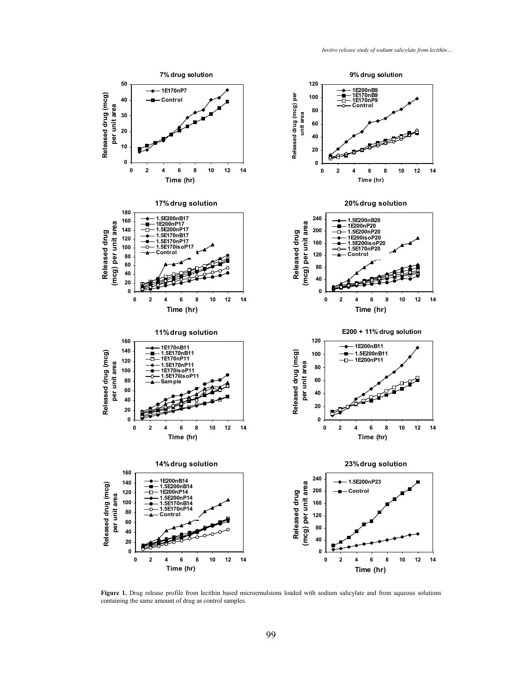

Figure 1. Drug release profile from lecithin based microemulsions loaded with sodium salicylate and from aqueous solutions containing the same amount of drug as control samples.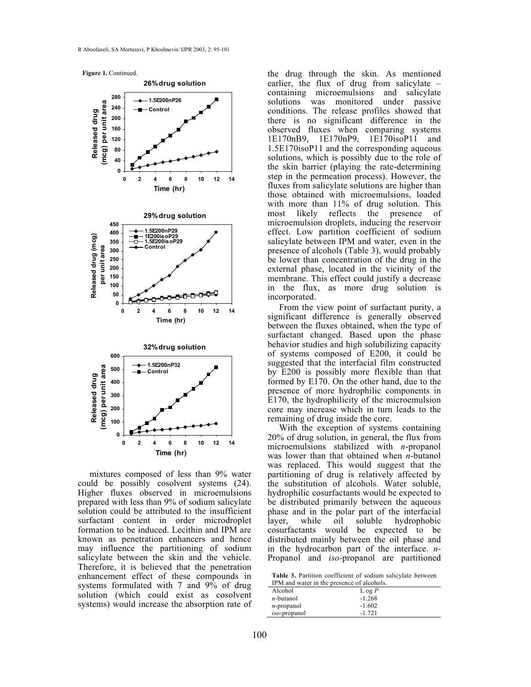**Figure 1.** Continued.



mixtures composed of less than 9% water could be possibly cosolvent systems (24). Higher fluxes observed in microemulsions prepared with less than 9% of sodium salicylate solution could be attributed to the insufficient surfactant content in order microdroplet formation to be induced. Lecithin and IPM are known as penetration enhancers and hence may influence the partitioning of sodium salicylate between the skin and the vehicle. Therefore, it is believed that the penetration enhancement effect of these compounds in systems formulated with 7 and 9% of drug solution (which could exist as cosolvent systems) would increase the absorption rate of the drug through the skin. As mentioned earlier, the flux of drug from salicylate – containing microemulsions and salicylate solutions was monitored under passive conditions. The release profiles showed that there is no significant difference in the observed fluxes when comparing systems 1E170nB9, 1E170nP9, 1E170isoP11 and 1.5E170isoP11 and the corresponding aqueous solutions, which is possibly due to the role of the skin barrier (playing the rate-determining step in the permeation process). However, the fluxes from salicylate solutions are higher than those obtained with microemulsions, loaded with more than 11% of drug solution. This most likely reflects the presence of microemulsion droplets, inducing the reservoir effect. Low partition coefficient of sodium salicylate between IPM and water, even in the presence of alcohols (Table 3), would probably be lower than concentration of the drug in the external phase, located in the vicinity of the membrane. This effect could justify a decrease in the flux, as more drug solution is incorporated.

From the view point of surfactant purity, a significant difference is generally observed between the fluxes obtained, when the type of surfactant changed. Based upon the phase behavior studies and high solubilizing capacity of systems composed of E200, it could be suggested that the interfacial film constructed by E200 is possibly more flexible than that formed by E170. On the other hand, due to the presence of more hydrophilic components in E170, the hydrophilicity of the microemulsion core may increase which in turn leads to the remaining of drug inside the core.

With the exception of systems containing 20% of drug solution, in general, the flux from microemulsions stabilized with *n*-propanol was lower than that obtained when *n*-butanol was replaced. This would suggest that the partitioning of drug is relatively affected by the substitution of alcohols. Water soluble, hydrophilic cosurfactants would be expected to be distributed primarily between the aqueous phase and in the polar part of the interfacial layer, while oil soluble hydrophobic cosurfactants would be expected to be distributed mainly between the oil phase and in the hydrocarbon part of the interface. *n*-Propanol and *iso*-propanol are partitioned

| Table 3. Partition coefficient of sodium salicylate between |  |
|-------------------------------------------------------------|--|
| IPM and water in the presence of alcohols.                  |  |

| If we alle water in the presence of arcohols. |          |  |
|-----------------------------------------------|----------|--|
| Alcohol                                       | $\log P$ |  |
| <i>n</i> -butanol                             | $-1.268$ |  |
| $n$ -propanol                                 | $-1.602$ |  |
| <i>iso</i> -propanol                          | $-1.721$ |  |